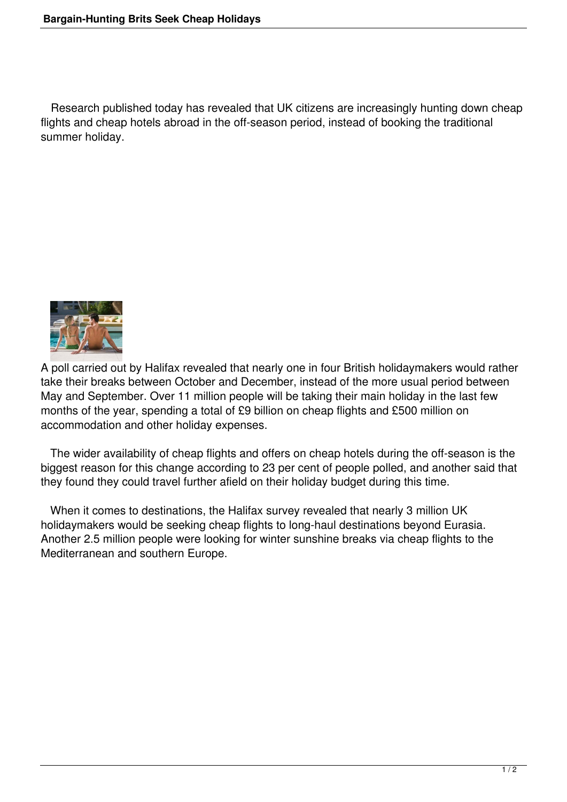Research published today has revealed that UK citizens are increasingly hunting down cheap flights and cheap hotels abroad in the off-season period, instead of booking the traditional summer holiday.



A poll carried out by Halifax revealed that nearly one in four British holidaymakers would rather take their breaks between October and December, instead of the more usual period between May and September. Over 11 million people will be taking their main holiday in the last few months of the year, spending a total of £9 billion on cheap flights and £500 million on accommodation and other holiday expenses.

 The wider availability of cheap flights and offers on cheap hotels during the off-season is the biggest reason for this change according to 23 per cent of people polled, and another said that they found they could travel further afield on their holiday budget during this time.

 When it comes to destinations, the Halifax survey revealed that nearly 3 million UK holidaymakers would be seeking cheap flights to long-haul destinations beyond Eurasia. Another 2.5 million people were looking for winter sunshine breaks via cheap flights to the Mediterranean and southern Europe.